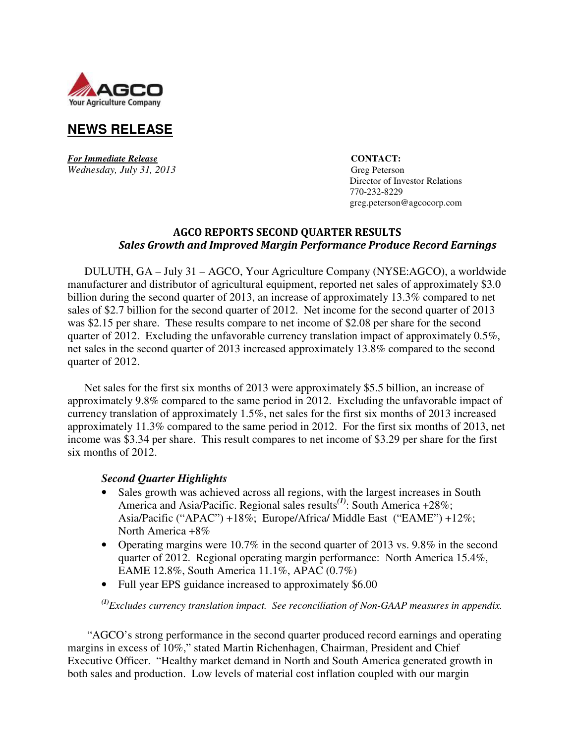

# **NEWS RELEASE**

*For Immediate Release* **CONTACT:** *Wednesday, July 31, 2013* Greg Peterson

 Director of Investor Relations 770-232-8229 greg.peterson@agcocorp.com

# AGCO REPORTS SECOND QUARTER RESULTS Sales Growth and Improved Margin Performance Produce Record Earnings

DULUTH, GA – July 31 – AGCO, Your Agriculture Company (NYSE:AGCO), a worldwide manufacturer and distributor of agricultural equipment, reported net sales of approximately \$3.0 billion during the second quarter of 2013, an increase of approximately 13.3% compared to net sales of \$2.7 billion for the second quarter of 2012. Net income for the second quarter of 2013 was \$2.15 per share. These results compare to net income of \$2.08 per share for the second quarter of 2012. Excluding the unfavorable currency translation impact of approximately  $0.5\%$ . net sales in the second quarter of 2013 increased approximately 13.8% compared to the second quarter of 2012.

Net sales for the first six months of 2013 were approximately \$5.5 billion, an increase of approximately 9.8% compared to the same period in 2012. Excluding the unfavorable impact of currency translation of approximately 1.5%, net sales for the first six months of 2013 increased approximately 11.3% compared to the same period in 2012. For the first six months of 2013, net income was \$3.34 per share. This result compares to net income of \$3.29 per share for the first six months of 2012.

## *Second Quarter Highlights*

- Sales growth was achieved across all regions, with the largest increases in South America and Asia/Pacific. Regional sales results*(1)*: South America +28%; Asia/Pacific ("APAC") +18%; Europe/Africa/ Middle East ("EAME") +12%; North America +8%
- Operating margins were 10.7% in the second quarter of 2013 vs. 9.8% in the second quarter of 2012. Regional operating margin performance: North America 15.4%, EAME 12.8%, South America 11.1%, APAC (0.7%)
- Full year EPS guidance increased to approximately \$6.00

*(1)Excludes currency translation impact. See reconciliation of Non-GAAP measures in appendix.* 

 "AGCO's strong performance in the second quarter produced record earnings and operating margins in excess of 10%," stated Martin Richenhagen, Chairman, President and Chief Executive Officer. "Healthy market demand in North and South America generated growth in both sales and production. Low levels of material cost inflation coupled with our margin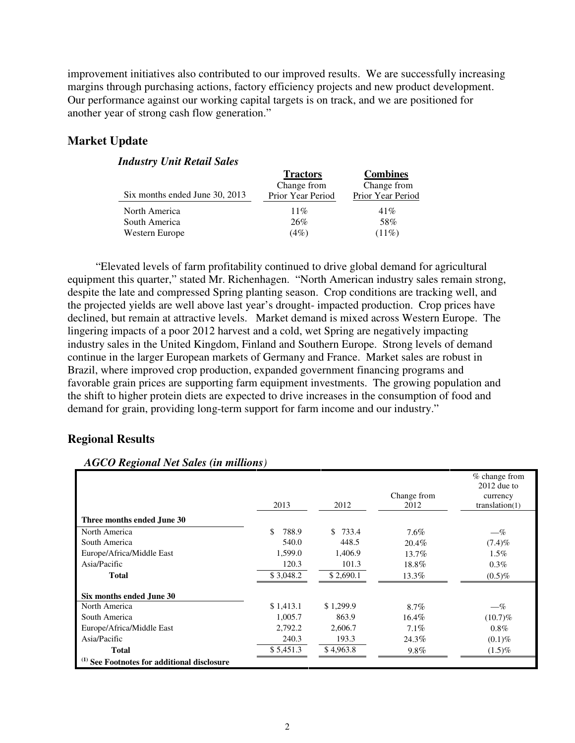improvement initiatives also contributed to our improved results. We are successfully increasing margins through purchasing actions, factory efficiency projects and new product development. Our performance against our working capital targets is on track, and we are positioned for another year of strong cash flow generation."

# **Market Update**

### *Industry Unit Retail Sales*

|                                | <b>Tractors</b>   | <b>Combines</b>   |
|--------------------------------|-------------------|-------------------|
|                                | Change from       | Change from       |
| Six months ended June 30, 2013 | Prior Year Period | Prior Year Period |
| North America                  | 11%               | 41%               |
| South America                  | 26%               | 58%               |
| Western Europe                 | (4%)              | $(11\%)$          |

 "Elevated levels of farm profitability continued to drive global demand for agricultural equipment this quarter," stated Mr. Richenhagen. "North American industry sales remain strong, despite the late and compressed Spring planting season. Crop conditions are tracking well, and the projected yields are well above last year's drought- impacted production. Crop prices have declined, but remain at attractive levels. Market demand is mixed across Western Europe. The lingering impacts of a poor 2012 harvest and a cold, wet Spring are negatively impacting industry sales in the United Kingdom, Finland and Southern Europe. Strong levels of demand continue in the larger European markets of Germany and France. Market sales are robust in Brazil, where improved crop production, expanded government financing programs and favorable grain prices are supporting farm equipment investments. The growing population and the shift to higher protein diets are expected to drive increases in the consumption of food and demand for grain, providing long-term support for farm income and our industry."

# **Regional Results**

|                                         |             |             |                     | $%$ change from<br>$2012$ due to |
|-----------------------------------------|-------------|-------------|---------------------|----------------------------------|
|                                         | 2013        | 2012        | Change from<br>2012 | currency<br>translation(1)       |
| Three months ended June 30              |             |             |                     |                                  |
| North America                           | 788.9<br>\$ | 733.4<br>\$ | $7.6\%$             | $-\%$                            |
| South America                           | 540.0       | 448.5       | $20.4\%$            | (7.4)%                           |
| Europe/Africa/Middle East               | 1,599.0     | 1,406.9     | $13.7\%$            | $1.5\%$                          |
| Asia/Pacific                            | 120.3       | 101.3       | 18.8%               | $0.3\%$                          |
| <b>Total</b>                            | \$3,048.2   | \$2,690.1   | $13.3\%$            | $(0.5)\%$                        |
| Six months ended June 30                |             |             |                     |                                  |
| North America                           | \$1,413.1   | \$1,299.9   | $8.7\%$             | $-\%$                            |
| South America                           | 1,005.7     | 863.9       | $16.4\%$            | $(10.7)\%$                       |
| Europe/Africa/Middle East               | 2,792.2     | 2,606.7     | $7.1\%$             | $0.8\%$                          |
| Asia/Pacific                            | 240.3       | 193.3       | 24.3%               | $(0.1)\%$                        |
| <b>Total</b>                            | \$5,451.3   | \$4,963.8   | $9.8\%$             | $(1.5)\%$                        |
| See Footnotes for additional disclosure |             |             |                     |                                  |

### *AGCO Regional Net Sales (in millions)*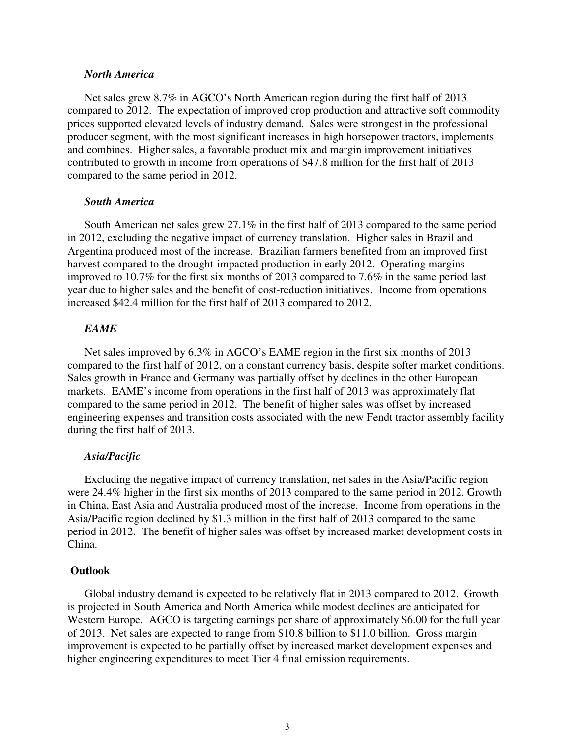#### *North America*

Net sales grew 8.7% in AGCO's North American region during the first half of 2013 compared to 2012. The expectation of improved crop production and attractive soft commodity prices supported elevated levels of industry demand. Sales were strongest in the professional producer segment, with the most significant increases in high horsepower tractors, implements and combines. Higher sales, a favorable product mix and margin improvement initiatives contributed to growth in income from operations of \$47.8 million for the first half of 2013 compared to the same period in 2012.

#### *South America*

South American net sales grew 27.1% in the first half of 2013 compared to the same period in 2012, excluding the negative impact of currency translation. Higher sales in Brazil and Argentina produced most of the increase. Brazilian farmers benefited from an improved first harvest compared to the drought-impacted production in early 2012. Operating margins improved to 10.7% for the first six months of 2013 compared to 7.6% in the same period last year due to higher sales and the benefit of cost-reduction initiatives. Income from operations increased \$42.4 million for the first half of 2013 compared to 2012.

### *EAME*

Net sales improved by 6.3% in AGCO's EAME region in the first six months of 2013 compared to the first half of 2012, on a constant currency basis, despite softer market conditions. Sales growth in France and Germany was partially offset by declines in the other European markets. EAME's income from operations in the first half of 2013 was approximately flat compared to the same period in 2012. The benefit of higher sales was offset by increased engineering expenses and transition costs associated with the new Fendt tractor assembly facility during the first half of 2013.

#### *Asia/Pacific*

Excluding the negative impact of currency translation, net sales in the Asia/Pacific region were 24.4% higher in the first six months of 2013 compared to the same period in 2012. Growth in China, East Asia and Australia produced most of the increase. Income from operations in the Asia/Pacific region declined by \$1.3 million in the first half of 2013 compared to the same period in 2012. The benefit of higher sales was offset by increased market development costs in China.

#### **Outlook**

Global industry demand is expected to be relatively flat in 2013 compared to 2012. Growth is projected in South America and North America while modest declines are anticipated for Western Europe. AGCO is targeting earnings per share of approximately \$6.00 for the full year of 2013. Net sales are expected to range from \$10.8 billion to \$11.0 billion. Gross margin improvement is expected to be partially offset by increased market development expenses and higher engineering expenditures to meet Tier 4 final emission requirements.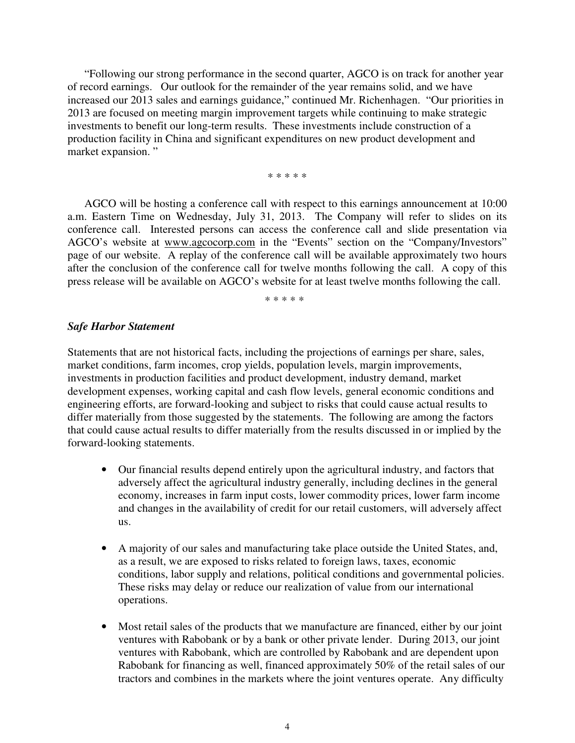"Following our strong performance in the second quarter, AGCO is on track for another year of record earnings. Our outlook for the remainder of the year remains solid, and we have increased our 2013 sales and earnings guidance," continued Mr. Richenhagen. "Our priorities in 2013 are focused on meeting margin improvement targets while continuing to make strategic investments to benefit our long-term results. These investments include construction of a production facility in China and significant expenditures on new product development and market expansion."

\* \* \* \* \*

AGCO will be hosting a conference call with respect to this earnings announcement at 10:00 a.m. Eastern Time on Wednesday, July 31, 2013. The Company will refer to slides on its conference call. Interested persons can access the conference call and slide presentation via AGCO's website at www.agcocorp.com in the "Events" section on the "Company/Investors" page of our website. A replay of the conference call will be available approximately two hours after the conclusion of the conference call for twelve months following the call. A copy of this press release will be available on AGCO's website for at least twelve months following the call.

\* \* \* \* \*

#### *Safe Harbor Statement*

Statements that are not historical facts, including the projections of earnings per share, sales, market conditions, farm incomes, crop yields, population levels, margin improvements, investments in production facilities and product development, industry demand, market development expenses, working capital and cash flow levels, general economic conditions and engineering efforts, are forward-looking and subject to risks that could cause actual results to differ materially from those suggested by the statements. The following are among the factors that could cause actual results to differ materially from the results discussed in or implied by the forward-looking statements.

- Our financial results depend entirely upon the agricultural industry, and factors that adversely affect the agricultural industry generally, including declines in the general economy, increases in farm input costs, lower commodity prices, lower farm income and changes in the availability of credit for our retail customers, will adversely affect us.
- A majority of our sales and manufacturing take place outside the United States, and, as a result, we are exposed to risks related to foreign laws, taxes, economic conditions, labor supply and relations, political conditions and governmental policies. These risks may delay or reduce our realization of value from our international operations.
- Most retail sales of the products that we manufacture are financed, either by our joint ventures with Rabobank or by a bank or other private lender. During 2013, our joint ventures with Rabobank, which are controlled by Rabobank and are dependent upon Rabobank for financing as well, financed approximately 50% of the retail sales of our tractors and combines in the markets where the joint ventures operate. Any difficulty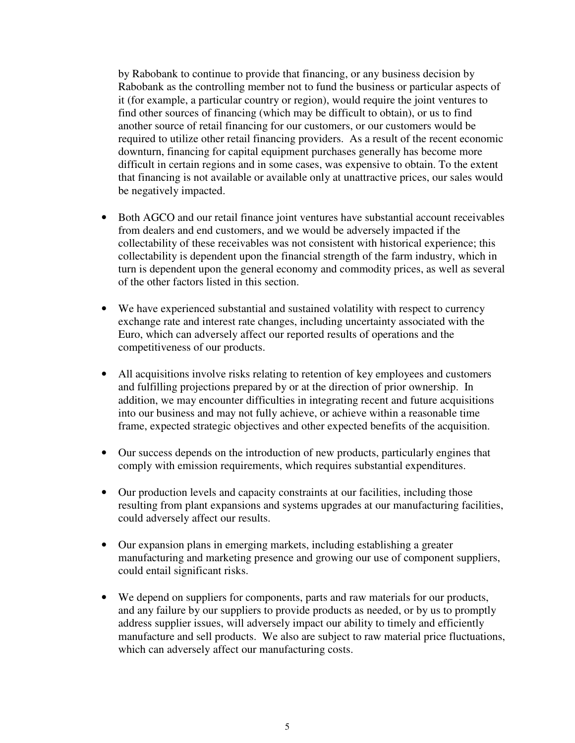by Rabobank to continue to provide that financing, or any business decision by Rabobank as the controlling member not to fund the business or particular aspects of it (for example, a particular country or region), would require the joint ventures to find other sources of financing (which may be difficult to obtain), or us to find another source of retail financing for our customers, or our customers would be required to utilize other retail financing providers. As a result of the recent economic downturn, financing for capital equipment purchases generally has become more difficult in certain regions and in some cases, was expensive to obtain. To the extent that financing is not available or available only at unattractive prices, our sales would be negatively impacted.

- Both AGCO and our retail finance joint ventures have substantial account receivables from dealers and end customers, and we would be adversely impacted if the collectability of these receivables was not consistent with historical experience; this collectability is dependent upon the financial strength of the farm industry, which in turn is dependent upon the general economy and commodity prices, as well as several of the other factors listed in this section.
- We have experienced substantial and sustained volatility with respect to currency exchange rate and interest rate changes, including uncertainty associated with the Euro, which can adversely affect our reported results of operations and the competitiveness of our products.
- All acquisitions involve risks relating to retention of key employees and customers and fulfilling projections prepared by or at the direction of prior ownership. In addition, we may encounter difficulties in integrating recent and future acquisitions into our business and may not fully achieve, or achieve within a reasonable time frame, expected strategic objectives and other expected benefits of the acquisition.
- Our success depends on the introduction of new products, particularly engines that comply with emission requirements, which requires substantial expenditures.
- Our production levels and capacity constraints at our facilities, including those resulting from plant expansions and systems upgrades at our manufacturing facilities, could adversely affect our results.
- Our expansion plans in emerging markets, including establishing a greater manufacturing and marketing presence and growing our use of component suppliers, could entail significant risks.
- We depend on suppliers for components, parts and raw materials for our products, and any failure by our suppliers to provide products as needed, or by us to promptly address supplier issues, will adversely impact our ability to timely and efficiently manufacture and sell products. We also are subject to raw material price fluctuations, which can adversely affect our manufacturing costs.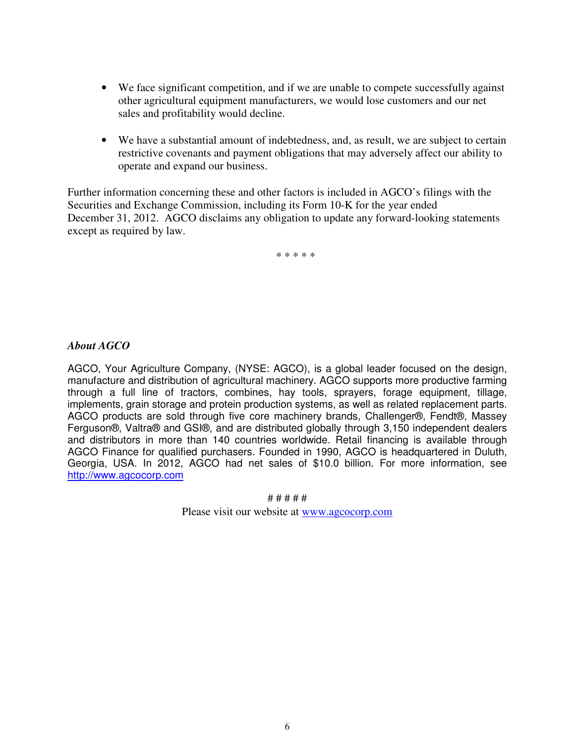- We face significant competition, and if we are unable to compete successfully against other agricultural equipment manufacturers, we would lose customers and our net sales and profitability would decline.
- We have a substantial amount of indebtedness, and, as result, we are subject to certain restrictive covenants and payment obligations that may adversely affect our ability to operate and expand our business.

Further information concerning these and other factors is included in AGCO's filings with the Securities and Exchange Commission, including its Form 10-K for the year ended December 31, 2012. AGCO disclaims any obligation to update any forward-looking statements except as required by law.

\* \* \* \* \*

## *About AGCO*

AGCO, Your Agriculture Company, (NYSE: AGCO), is a global leader focused on the design, manufacture and distribution of agricultural machinery. AGCO supports more productive farming through a full line of tractors, combines, hay tools, sprayers, forage equipment, tillage, implements, grain storage and protein production systems, as well as related replacement parts. AGCO products are sold through five core machinery brands, Challenger®, Fendt®, Massey Ferguson®, Valtra® and GSI®, and are distributed globally through 3,150 independent dealers and distributors in more than 140 countries worldwide. Retail financing is available through AGCO Finance for qualified purchasers. Founded in 1990, AGCO is headquartered in Duluth, Georgia, USA. In 2012, AGCO had net sales of \$10.0 billion. For more information, see http://www.agcocorp.com

> # # # # # Please visit our website at www.agcocorp.com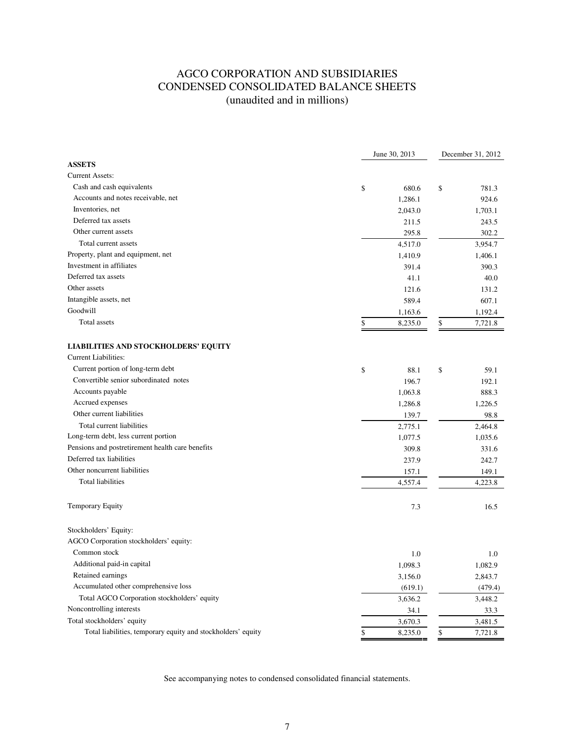# AGCO CORPORATION AND SUBSIDIARIES CONDENSED CONSOLIDATED BALANCE SHEETS (unaudited and in millions)

| <b>ASSETS</b>                                                                         |         |
|---------------------------------------------------------------------------------------|---------|
|                                                                                       |         |
| <b>Current Assets:</b>                                                                |         |
| Cash and cash equivalents<br>\$<br>680.6<br>\$                                        | 781.3   |
| Accounts and notes receivable, net<br>1,286.1                                         | 924.6   |
| Inventories, net<br>2,043.0                                                           | 1,703.1 |
| Deferred tax assets<br>211.5                                                          | 243.5   |
| Other current assets<br>295.8                                                         | 302.2   |
| Total current assets<br>4,517.0                                                       | 3,954.7 |
| Property, plant and equipment, net<br>1,410.9                                         | 1,406.1 |
| Investment in affiliates<br>391.4                                                     | 390.3   |
| Deferred tax assets<br>41.1                                                           | 40.0    |
| Other assets<br>121.6                                                                 | 131.2   |
| Intangible assets, net<br>589.4                                                       | 607.1   |
| Goodwill<br>1,163.6                                                                   | 1,192.4 |
| Total assets<br>\$<br>\$<br>8,235.0                                                   | 7,721.8 |
| <b>LIABILITIES AND STOCKHOLDERS' EQUITY</b>                                           |         |
| <b>Current Liabilities:</b>                                                           |         |
| Current portion of long-term debt<br>\$<br>88.1<br>\$                                 | 59.1    |
| Convertible senior subordinated notes<br>196.7                                        | 192.1   |
| Accounts payable<br>1,063.8                                                           | 888.3   |
| Accrued expenses<br>1,286.8                                                           | 1,226.5 |
| Other current liabilities<br>139.7                                                    | 98.8    |
| Total current liabilities                                                             |         |
| 2,775.1<br>Long-term debt, less current portion                                       | 2,464.8 |
| 1,077.5<br>Pensions and postretirement health care benefits                           | 1,035.6 |
| 309.8<br>Deferred tax liabilities                                                     | 331.6   |
| 237.9<br>Other noncurrent liabilities                                                 | 242.7   |
| 157.1<br>Total liabilities                                                            | 149.1   |
| 4,557.4                                                                               | 4,223.8 |
| <b>Temporary Equity</b><br>7.3                                                        | 16.5    |
| Stockholders' Equity:                                                                 |         |
| AGCO Corporation stockholders' equity:                                                |         |
| Common stock<br>1.0                                                                   | 1.0     |
| Additional paid-in capital<br>1,098.3                                                 | 1,082.9 |
| Retained earnings<br>3,156.0                                                          | 2,843.7 |
| Accumulated other comprehensive loss<br>(619.1)                                       | (479.4) |
| Total AGCO Corporation stockholders' equity<br>3,636.2                                | 3,448.2 |
| Noncontrolling interests<br>34.1                                                      | 33.3    |
| Total stockholders' equity<br>3,670.3                                                 | 3,481.5 |
| Total liabilities, temporary equity and stockholders' equity<br>$\$$<br>\$<br>8,235.0 | 7,721.8 |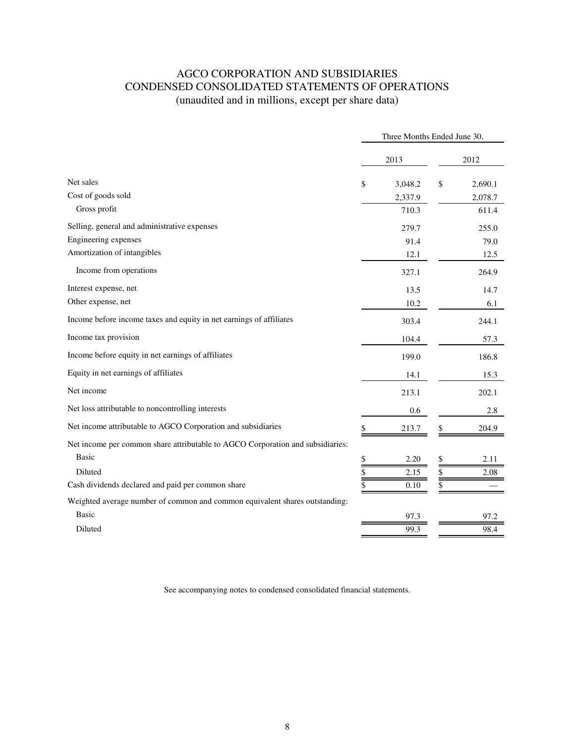# AGCO CORPORATION AND SUBSIDIARIES CONDENSED CONSOLIDATED STATEMENTS OF OPERATIONS (unaudited and in millions, except per share data)

|                                                                                | Three Months Ended June 30, |               |
|--------------------------------------------------------------------------------|-----------------------------|---------------|
|                                                                                | 2013                        | 2012          |
| Net sales                                                                      | \$<br>3,048.2               | \$<br>2,690.1 |
| Cost of goods sold                                                             | 2,337.9                     | 2,078.7       |
| Gross profit                                                                   | 710.3                       | 611.4         |
| Selling, general and administrative expenses                                   | 279.7                       | 255.0         |
| Engineering expenses                                                           | 91.4                        | 79.0          |
| Amortization of intangibles                                                    | 12.1                        | 12.5          |
| Income from operations                                                         | 327.1                       | 264.9         |
| Interest expense, net                                                          | 13.5                        | 14.7          |
| Other expense, net                                                             | 10.2                        | 6.1           |
| Income before income taxes and equity in net earnings of affiliates            | 303.4                       | 244.1         |
| Income tax provision                                                           | 104.4                       | 57.3          |
| Income before equity in net earnings of affiliates                             | 199.0                       | 186.8         |
| Equity in net earnings of affiliates                                           | 14.1                        | 15.3          |
| Net income                                                                     | 213.1                       | 202.1         |
| Net loss attributable to noncontrolling interests                              | 0.6                         | $2.8\,$       |
| Net income attributable to AGCO Corporation and subsidiaries                   | \$<br>213.7                 | \$<br>204.9   |
| Net income per common share attributable to AGCO Corporation and subsidiaries: |                             |               |
| <b>Basic</b>                                                                   | \$<br>2.20                  | \$<br>2.11    |
| Diluted                                                                        | 2.15                        | \$<br>2.08    |
| Cash dividends declared and paid per common share                              | \$<br>0.10                  | \$            |
| Weighted average number of common and common equivalent shares outstanding:    |                             |               |
| Basic                                                                          | 97.3                        | 97.2          |
| Diluted                                                                        | 99.3                        | 98.4          |
|                                                                                |                             |               |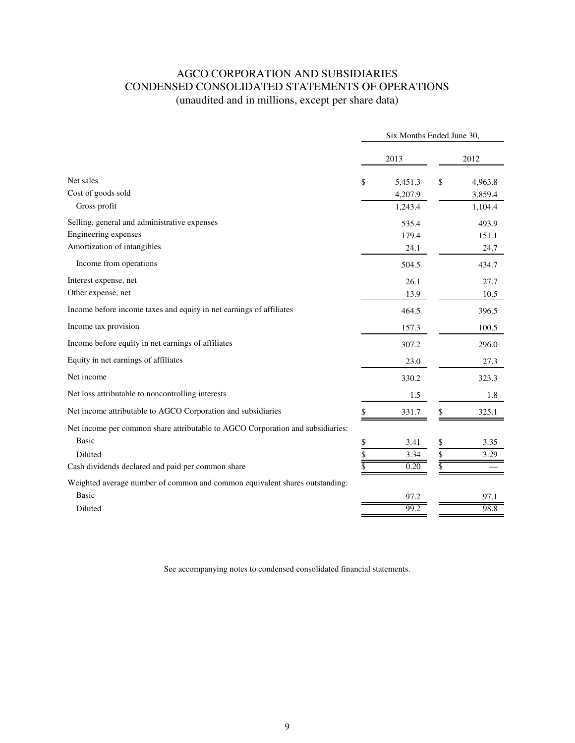# AGCO CORPORATION AND SUBSIDIARIES CONDENSED CONSOLIDATED STATEMENTS OF OPERATIONS (unaudited and in millions, except per share data)

|                                                                                |    | Six Months Ended June 30, |               |
|--------------------------------------------------------------------------------|----|---------------------------|---------------|
|                                                                                |    | 2013                      | 2012          |
| Net sales                                                                      | \$ | 5,451.3                   | \$<br>4,963.8 |
| Cost of goods sold                                                             |    | 4,207.9                   | 3,859.4       |
| Gross profit                                                                   |    | 1,243.4                   | 1,104.4       |
| Selling, general and administrative expenses                                   |    | 535.4                     | 493.9         |
| Engineering expenses                                                           |    | 179.4                     | 151.1         |
| Amortization of intangibles                                                    |    | 24.1                      | 24.7          |
| Income from operations                                                         |    | 504.5                     | 434.7         |
| Interest expense, net                                                          |    | 26.1                      | 27.7          |
| Other expense, net                                                             |    | 13.9                      | 10.5          |
| Income before income taxes and equity in net earnings of affiliates            |    | 464.5                     | 396.5         |
| Income tax provision                                                           |    | 157.3                     | 100.5         |
| Income before equity in net earnings of affiliates                             |    | 307.2                     | 296.0         |
| Equity in net earnings of affiliates                                           |    | 23.0                      | 27.3          |
| Net income                                                                     |    | 330.2                     | 323.3         |
| Net loss attributable to noncontrolling interests                              |    | 1.5                       | 1.8           |
| Net income attributable to AGCO Corporation and subsidiaries                   | \$ | 331.7                     | \$<br>325.1   |
| Net income per common share attributable to AGCO Corporation and subsidiaries: |    |                           |               |
| <b>Basic</b>                                                                   | \$ | 3.41                      | 3.35          |
| Diluted                                                                        | Ś  | 3.34                      | \$<br>3.29    |
| Cash dividends declared and paid per common share                              | \$ | 0.20                      | \$            |
| Weighted average number of common and common equivalent shares outstanding:    |    |                           |               |
| Basic                                                                          |    | 97.2                      | 97.1          |
| Diluted                                                                        |    | 99.2                      | 98.8          |
|                                                                                |    |                           |               |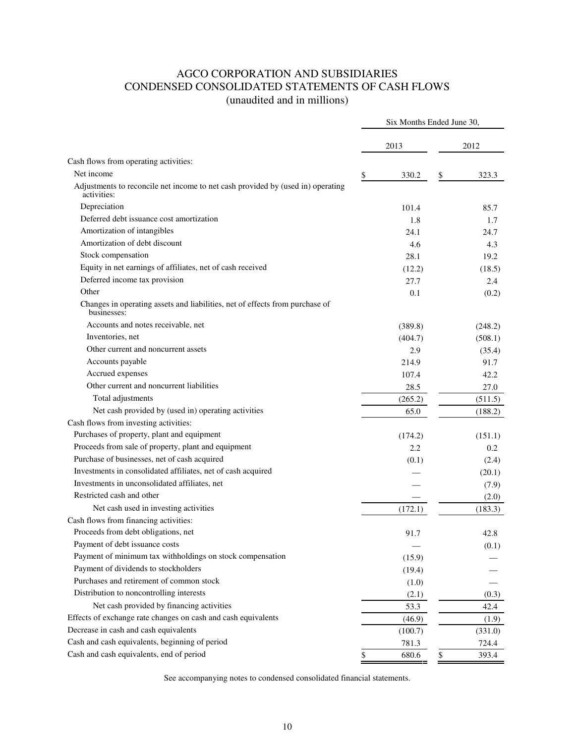# AGCO CORPORATION AND SUBSIDIARIES CONDENSED CONSOLIDATED STATEMENTS OF CASH FLOWS (unaudited and in millions)

|                                                                                                | Six Months Ended June 30, |             |
|------------------------------------------------------------------------------------------------|---------------------------|-------------|
|                                                                                                | 2013                      | 2012        |
| Cash flows from operating activities:                                                          |                           |             |
| Net income                                                                                     | \$<br>330.2               | \$<br>323.3 |
| Adjustments to reconcile net income to net cash provided by (used in) operating<br>activities: |                           |             |
| Depreciation                                                                                   | 101.4                     | 85.7        |
| Deferred debt issuance cost amortization                                                       | 1.8                       | 1.7         |
| Amortization of intangibles                                                                    | 24.1                      | 24.7        |
| Amortization of debt discount                                                                  | 4.6                       | 4.3         |
| Stock compensation                                                                             | 28.1                      | 19.2        |
| Equity in net earnings of affiliates, net of cash received                                     | (12.2)                    | (18.5)      |
| Deferred income tax provision                                                                  | 27.7                      | 2.4         |
| Other                                                                                          | 0.1                       | (0.2)       |
| Changes in operating assets and liabilities, net of effects from purchase of<br>businesses:    |                           |             |
| Accounts and notes receivable, net                                                             | (389.8)                   | (248.2)     |
| Inventories, net                                                                               | (404.7)                   | (508.1)     |
| Other current and noncurrent assets                                                            | 2.9                       | (35.4)      |
| Accounts payable                                                                               | 214.9                     | 91.7        |
| Accrued expenses                                                                               | 107.4                     | 42.2        |
| Other current and noncurrent liabilities                                                       | 28.5                      | 27.0        |
| Total adjustments                                                                              | (265.2)                   | (511.5)     |
| Net cash provided by (used in) operating activities                                            | 65.0                      | (188.2)     |
| Cash flows from investing activities:                                                          |                           |             |
| Purchases of property, plant and equipment                                                     | (174.2)                   | (151.1)     |
| Proceeds from sale of property, plant and equipment                                            | 2.2                       | 0.2         |
| Purchase of businesses, net of cash acquired                                                   | (0.1)                     | (2.4)       |
| Investments in consolidated affiliates, net of cash acquired                                   |                           | (20.1)      |
| Investments in unconsolidated affiliates, net                                                  |                           | (7.9)       |
| Restricted cash and other                                                                      |                           | (2.0)       |
| Net cash used in investing activities                                                          | (172.1)                   | (183.3)     |
| Cash flows from financing activities:                                                          |                           |             |
| Proceeds from debt obligations, net                                                            | 91.7                      | 42.8        |
| Payment of debt issuance costs                                                                 |                           | (0.1)       |
| Payment of minimum tax withholdings on stock compensation                                      | (15.9)                    |             |
| Payment of dividends to stockholders                                                           | (19.4)                    |             |
| Purchases and retirement of common stock                                                       | (1.0)                     |             |
| Distribution to noncontrolling interests                                                       | (2.1)                     | (0.3)       |
| Net cash provided by financing activities                                                      | 53.3                      | 42.4        |
| Effects of exchange rate changes on cash and cash equivalents                                  | (46.9)                    | (1.9)       |
| Decrease in cash and cash equivalents                                                          | (100.7)                   | (331.0)     |
| Cash and cash equivalents, beginning of period                                                 | 781.3                     | 724.4       |
| Cash and cash equivalents, end of period                                                       | \$<br>680.6               | \$<br>393.4 |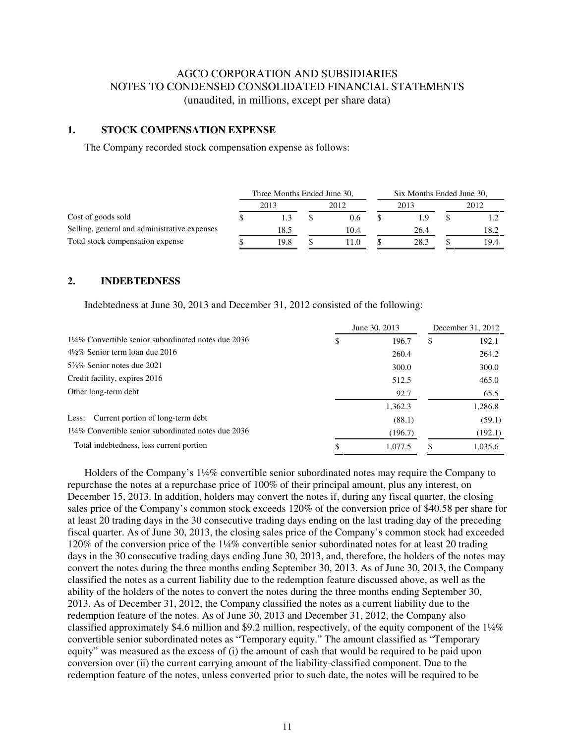# AGCO CORPORATION AND SUBSIDIARIES NOTES TO CONDENSED CONSOLIDATED FINANCIAL STATEMENTS (unaudited, in millions, except per share data)

#### **1. STOCK COMPENSATION EXPENSE**

The Company recorded stock compensation expense as follows:

|                                              | Three Months Ended June 30, |  | Six Months Ended June 30, |  |      |  |      |
|----------------------------------------------|-----------------------------|--|---------------------------|--|------|--|------|
|                                              | 2013                        |  | 2012                      |  | 2013 |  | 2012 |
| Cost of goods sold                           |                             |  | 0.6                       |  |      |  |      |
| Selling, general and administrative expenses | 18.5                        |  | 10.4                      |  | 26.4 |  | 18.2 |
| Total stock compensation expense             | 19.8                        |  | 1.0                       |  | 28.3 |  | 19.4 |

#### **2. INDEBTEDNESS**

Indebtedness at June 30, 2013 and December 31, 2012 consisted of the following:

|                                                    | June 30, 2013 | December 31, 2012 |
|----------------------------------------------------|---------------|-------------------|
| 1¼% Convertible senior subordinated notes due 2036 | \$<br>196.7   | \$<br>192.1       |
| $4\frac{1}{2}\%$ Senior term loan due 2016         | 260.4         | 264.2             |
| $5\%$ % Senior notes due 2021                      | 300.0         | 300.0             |
| Credit facility, expires 2016                      | 512.5         | 465.0             |
| Other long-term debt                               | 92.7          | 65.5              |
|                                                    | 1,362.3       | 1,286.8           |
| Current portion of long-term debt<br>Less:         | (88.1)        | (59.1)            |
| 1¼% Convertible senior subordinated notes due 2036 | (196.7)       | (192.1)           |
| Total indebtedness, less current portion           | 1,077.5       | \$<br>1,035.6     |

Holders of the Company's 1¼% convertible senior subordinated notes may require the Company to repurchase the notes at a repurchase price of 100% of their principal amount, plus any interest, on December 15, 2013. In addition, holders may convert the notes if, during any fiscal quarter, the closing sales price of the Company's common stock exceeds 120% of the conversion price of \$40.58 per share for at least 20 trading days in the 30 consecutive trading days ending on the last trading day of the preceding fiscal quarter. As of June 30, 2013, the closing sales price of the Company's common stock had exceeded 120% of the conversion price of the 1¼% convertible senior subordinated notes for at least 20 trading days in the 30 consecutive trading days ending June 30, 2013, and, therefore, the holders of the notes may convert the notes during the three months ending September 30, 2013. As of June 30, 2013, the Company classified the notes as a current liability due to the redemption feature discussed above, as well as the ability of the holders of the notes to convert the notes during the three months ending September 30, 2013. As of December 31, 2012, the Company classified the notes as a current liability due to the redemption feature of the notes. As of June 30, 2013 and December 31, 2012, the Company also classified approximately \$4.6 million and \$9.2 million, respectively, of the equity component of the 1¼% convertible senior subordinated notes as "Temporary equity." The amount classified as "Temporary equity" was measured as the excess of (i) the amount of cash that would be required to be paid upon conversion over (ii) the current carrying amount of the liability-classified component. Due to the redemption feature of the notes, unless converted prior to such date, the notes will be required to be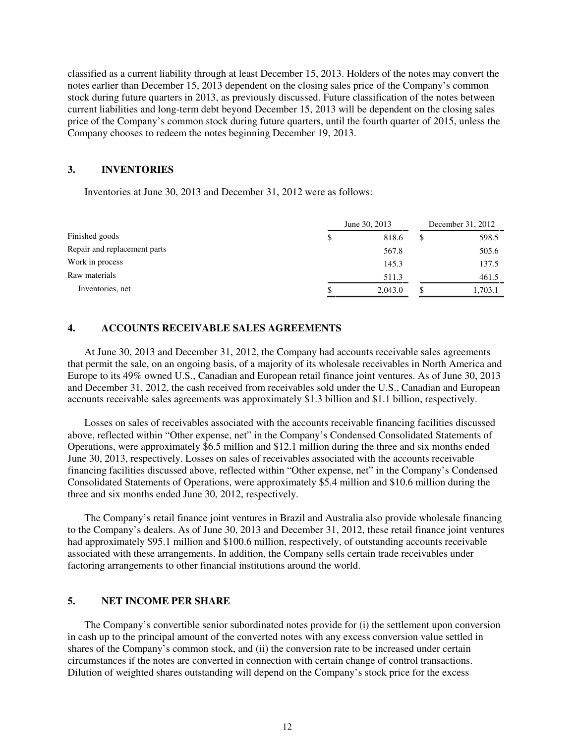classified as a current liability through at least December 15, 2013. Holders of the notes may convert the notes earlier than December 15, 2013 dependent on the closing sales price of the Company's common stock during future quarters in 2013, as previously discussed. Future classification of the notes between current liabilities and long-term debt beyond December 15, 2013 will be dependent on the closing sales price of the Company's common stock during future quarters, until the fourth quarter of 2015, unless the Company chooses to redeem the notes beginning December 19, 2013.

### **3. INVENTORIES**

Inventories at June 30, 2013 and December 31, 2012 were as follows:

|                              | June 30, 2013 |   |         |  |  |
|------------------------------|---------------|---|---------|--|--|
| Finished goods               | 818.6         | S | 598.5   |  |  |
| Repair and replacement parts | 567.8         |   | 505.6   |  |  |
| Work in process              | 145.3         |   | 137.5   |  |  |
| Raw materials                | 511.3         |   | 461.5   |  |  |
| Inventories, net             | 2,043.0       | S | 1,703.1 |  |  |

#### **4. ACCOUNTS RECEIVABLE SALES AGREEMENTS**

At June 30, 2013 and December 31, 2012, the Company had accounts receivable sales agreements that permit the sale, on an ongoing basis, of a majority of its wholesale receivables in North America and Europe to its 49% owned U.S., Canadian and European retail finance joint ventures. As of June 30, 2013 and December 31, 2012, the cash received from receivables sold under the U.S., Canadian and European accounts receivable sales agreements was approximately \$1.3 billion and \$1.1 billion, respectively.

 Losses on sales of receivables associated with the accounts receivable financing facilities discussed above, reflected within "Other expense, net" in the Company's Condensed Consolidated Statements of Operations, were approximately \$6.5 million and \$12.1 million during the three and six months ended June 30, 2013, respectively. Losses on sales of receivables associated with the accounts receivable financing facilities discussed above, reflected within "Other expense, net" in the Company's Condensed Consolidated Statements of Operations, were approximately \$5.4 million and \$10.6 million during the three and six months ended June 30, 2012, respectively.

The Company's retail finance joint ventures in Brazil and Australia also provide wholesale financing to the Company's dealers. As of June 30, 2013 and December 31, 2012, these retail finance joint ventures had approximately \$95.1 million and \$100.6 million, respectively, of outstanding accounts receivable associated with these arrangements. In addition, the Company sells certain trade receivables under factoring arrangements to other financial institutions around the world.

#### **5. NET INCOME PER SHARE**

The Company's convertible senior subordinated notes provide for (i) the settlement upon conversion in cash up to the principal amount of the converted notes with any excess conversion value settled in shares of the Company's common stock, and (ii) the conversion rate to be increased under certain circumstances if the notes are converted in connection with certain change of control transactions. Dilution of weighted shares outstanding will depend on the Company's stock price for the excess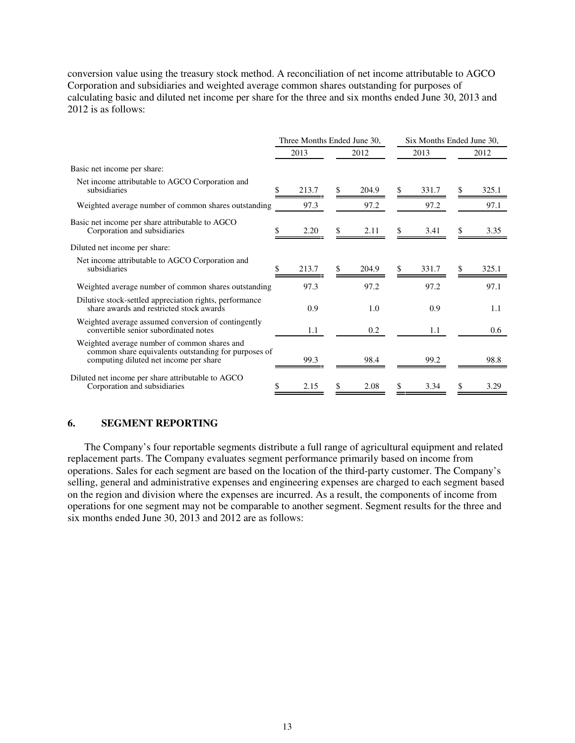conversion value using the treasury stock method. A reconciliation of net income attributable to AGCO Corporation and subsidiaries and weighted average common shares outstanding for purposes of calculating basic and diluted net income per share for the three and six months ended June 30, 2013 and 2012 is as follows:

|                                                                                                                                                | Three Months Ended June 30, |      |       |      | Six Months Ended June 30, |    |               |
|------------------------------------------------------------------------------------------------------------------------------------------------|-----------------------------|------|-------|------|---------------------------|----|---------------|
|                                                                                                                                                | 2013                        | 2012 |       | 2013 |                           |    | 2012          |
| Basic net income per share:                                                                                                                    |                             |      |       |      |                           |    |               |
| Net income attributable to AGCO Corporation and<br>subsidiaries                                                                                | 213.7                       | \$   | 204.9 | \$   | 331.7                     | S  | 325.1         |
| Weighted average number of common shares outstanding                                                                                           | 97.3                        |      | 97.2  |      | 97.2                      |    | 97.1          |
| Basic net income per share attributable to AGCO<br>Corporation and subsidiaries                                                                | 2.20                        | \$   | 2.11  | \$   | 3.41                      | \$ | 3.35          |
| Diluted net income per share:                                                                                                                  |                             |      |       |      |                           |    |               |
| Net income attributable to AGCO Corporation and<br>subsidiaries                                                                                | 213.7                       | \$   | 204.9 | \$   | 331.7                     |    | 325.1         |
| Weighted average number of common shares outstanding                                                                                           | 97.3                        |      | 97.2  |      | 97.2                      |    | 97.1          |
| Dilutive stock-settled appreciation rights, performance<br>share awards and restricted stock awards                                            | 0.9                         |      | 1.0   |      | 0.9                       |    | 1.1           |
| Weighted average assumed conversion of contingently<br>convertible senior subordinated notes                                                   | 1.1                         |      | 0.2   |      | 1.1                       |    | $0.6^{\circ}$ |
| Weighted average number of common shares and<br>common share equivalents outstanding for purposes of<br>computing diluted net income per share | 99.3                        |      | 98.4  |      | 99.2                      |    | 98.8          |
| Diluted net income per share attributable to AGCO<br>Corporation and subsidiaries                                                              | \$<br>2.15                  | \$   | 2.08  | \$   | 3.34                      | \$ | 3.29          |

#### **6. SEGMENT REPORTING**

The Company's four reportable segments distribute a full range of agricultural equipment and related replacement parts. The Company evaluates segment performance primarily based on income from operations. Sales for each segment are based on the location of the third-party customer. The Company's selling, general and administrative expenses and engineering expenses are charged to each segment based on the region and division where the expenses are incurred. As a result, the components of income from operations for one segment may not be comparable to another segment. Segment results for the three and six months ended June 30, 2013 and 2012 are as follows: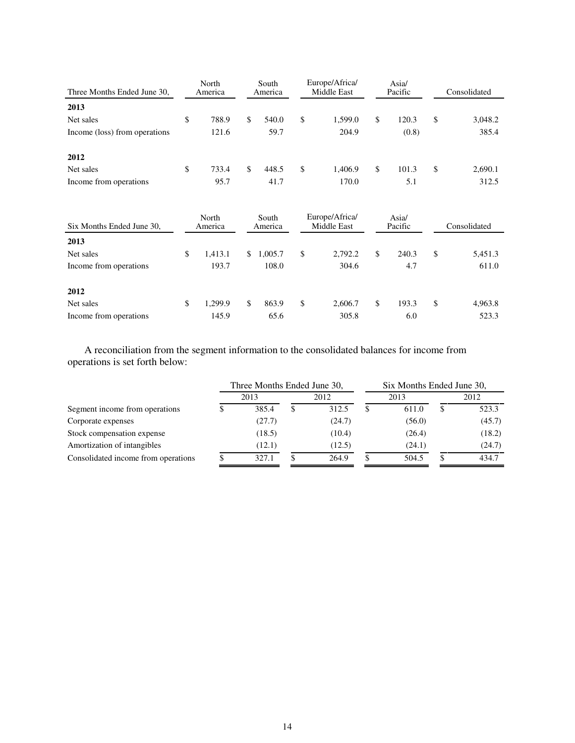| Three Months Ended June 30,   | North<br>South<br>Middle East<br>America<br>America |     |       |    |         |    |       |    |         |  |  |  | Europe/Africa/ |  |  |  |  |  |  |  | Asia/<br>Pacific |  | Consolidated |  |
|-------------------------------|-----------------------------------------------------|-----|-------|----|---------|----|-------|----|---------|--|--|--|----------------|--|--|--|--|--|--|--|------------------|--|--------------|--|
| 2013                          |                                                     |     |       |    |         |    |       |    |         |  |  |  |                |  |  |  |  |  |  |  |                  |  |              |  |
| Net sales                     | \$<br>788.9                                         | \$. | 540.0 | \$ | 1.599.0 | \$ | 120.3 | \$ | 3,048.2 |  |  |  |                |  |  |  |  |  |  |  |                  |  |              |  |
| Income (loss) from operations | 121.6                                               |     | 59.7  |    | 204.9   |    | (0.8) |    | 385.4   |  |  |  |                |  |  |  |  |  |  |  |                  |  |              |  |
| 2012                          |                                                     |     |       |    |         |    |       |    |         |  |  |  |                |  |  |  |  |  |  |  |                  |  |              |  |
| Net sales                     | \$<br>733.4                                         | \$. | 448.5 | \$ | 1.406.9 | \$ | 101.3 | \$ | 2,690.1 |  |  |  |                |  |  |  |  |  |  |  |                  |  |              |  |
| Income from operations        | 95.7                                                |     | 41.7  |    | 170.0   |    | 5.1   |    | 312.5   |  |  |  |                |  |  |  |  |  |  |  |                  |  |              |  |

| Six Months Ended June 30, | North<br>America |    | South<br>America | Europe/Africa/<br>Asia/<br>Pacific<br>Middle East |    |       |    | Consolidated |  |  |
|---------------------------|------------------|----|------------------|---------------------------------------------------|----|-------|----|--------------|--|--|
| 2013                      |                  |    |                  |                                                   |    |       |    |              |  |  |
| Net sales                 | \$<br>1,413.1    | S. | 1,005.7          | \$<br>2,792.2                                     | \$ | 240.3 | \$ | 5,451.3      |  |  |
| Income from operations    | 193.7            |    | 108.0            | 304.6                                             |    | 4.7   |    | 611.0        |  |  |
| 2012                      |                  |    |                  |                                                   |    |       |    |              |  |  |
| Net sales                 | \$<br>1.299.9    | S. | 863.9            | \$<br>2.606.7                                     | \$ | 193.3 | \$ | 4,963.8      |  |  |
| Income from operations    | 145.9            |    | 65.6             | 305.8                                             |    | 6.0   |    | 523.3        |  |  |

A reconciliation from the segment information to the consolidated balances for income from operations is set forth below:

|                                     | Three Months Ended June 30, |        |      |        |  | Six Months Ended June 30, |      |        |  |
|-------------------------------------|-----------------------------|--------|------|--------|--|---------------------------|------|--------|--|
| Segment income from operations      | 2013                        |        | 2012 |        |  | 2013                      | 2012 |        |  |
|                                     |                             | 385.4  | S    | 312.5  |  | 611.0                     | \$   | 523.3  |  |
| Corporate expenses                  |                             | (27.7) |      | (24.7) |  | (56.0)                    |      | (45.7) |  |
| Stock compensation expense          |                             | (18.5) |      | (10.4) |  | (26.4)                    |      | (18.2) |  |
| Amortization of intangibles         |                             | (12.1) |      | (12.5) |  | (24.1)                    |      | (24.7) |  |
| Consolidated income from operations |                             | 327.1  | -S   | 264.9  |  | 504.5                     |      | 434.7  |  |